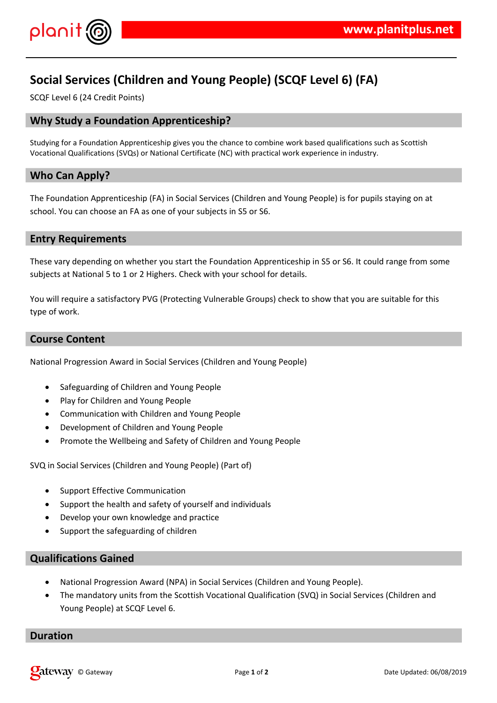

# **Social Services (Children and Young People) (SCQF Level 6) (FA)**

SCQF Level 6 (24 Credit Points)

# **Why Study a Foundation Apprenticeship?**

Studying for a Foundation Apprenticeship gives you the chance to combine work based qualifications such as Scottish Vocational Qualifications (SVQs) or National Certificate (NC) with practical work experience in industry.

# **Who Can Apply?**

The Foundation Apprenticeship (FA) in Social Services (Children and Young People) is for pupils staying on at school. You can choose an FA as one of your subjects in S5 or S6.

## **Entry Requirements**

These vary depending on whether you start the Foundation Apprenticeship in S5 or S6. It could range from some subjects at National 5 to 1 or 2 Highers. Check with your school for details.

You will require a satisfactory PVG (Protecting Vulnerable Groups) check to show that you are suitable for this type of work.

## **Course Content**

National Progression Award in Social Services (Children and Young People)

- Safeguarding of Children and Young People
- Play for Children and Young People
- Communication with Children and Young People
- Development of Children and Young People
- Promote the Wellbeing and Safety of Children and Young People

SVQ in Social Services (Children and Young People) (Part of)

- Support Effective Communication
- Support the health and safety of yourself and individuals
- Develop your own knowledge and practice
- Support the safeguarding of children

## **Qualifications Gained**

- National Progression Award (NPA) in Social Services (Children and Young People).
- The mandatory units from the Scottish Vocational Qualification (SVQ) in Social Services (Children and Young People) at SCQF Level 6.

## **Duration**